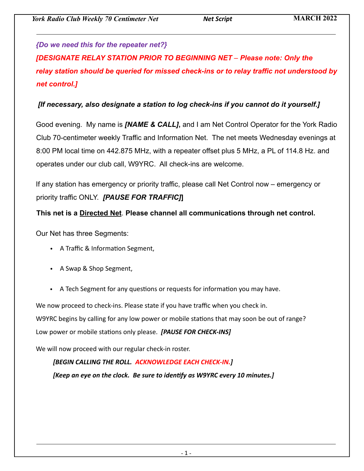## *{Do we need this for the repeater net?}*

*[DESIGNATE RELAY STATION PRIOR TO BEGINNING NET – Please note: Only the relay station should be queried for missed check-ins or to relay traffic not understood by net control.]* 

## *[If necessary, also designate a station to log check-ins if you cannot do it yourself.]*

Good evening. My name is *[NAME & CALL]***,** and I am Net Control Operator for the York Radio Club 70-centimeter weekly Traffic and Information Net. The net meets Wednesday evenings at 8:00 PM local time on 442.875 MHz, with a repeater offset plus 5 MHz, a PL of 114.8 Hz. and operates under our club call, W9YRC. All check-ins are welcome.

If any station has emergency or priority traffic, please call Net Control now – emergency or priority traffic ONLY. *[PAUSE FOR TRAFFIC]***]**

## **This net is a Directed Net**. **Please channel all communications through net control.**

Our Net has three Segments:

- A Traffic & Information Segment,
- A Swap & Shop Segment,
- A Tech Segment for any questions or requests for information you may have.

We now proceed to check-ins. Please state if you have traffic when you check in.

W9YRC begins by calling for any low power or mobile stations that may soon be out of range?

Low power or mobile stations only please. *[PAUSE FOR CHECK-INS]*

We will now proceed with our regular check-in roster.

#### *[BEGIN CALLING THE ROLL. ACKNOWLEDGE EACH CHECK-IN.]*

*[Keep an eye on the clock. Be sure to identify as W9YRC every 10 minutes.]*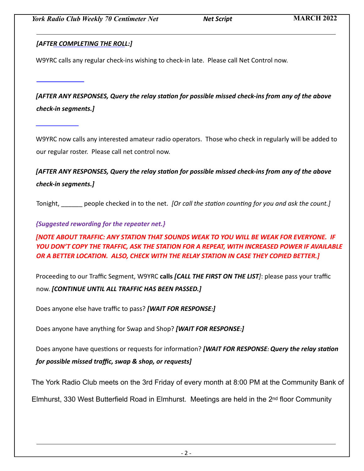#### *[AFTER COMPLETING THE ROLL:]*

W9YRC calls any regular check-ins wishing to check-in late. Please call Net Control now.

*[AFTER ANY RESPONSES, Query the relay station for possible missed check-ins from any of the above check-in segments.]*

W9YRC now calls any interested amateur radio operators. Those who check in regularly will be added to our regular roster. Please call net control now.

*[AFTER ANY RESPONSES, Query the relay station for possible missed check-ins from any of the above check-in segments.]*

Tonight, \_\_\_\_\_\_ people checked in to the net. *[Or call the station counting for you and ask the count.]*

*{Suggested rewording for the repeater net.}*

*[NOTE ABOUT TRAFFIC: ANY STATION THAT SOUNDS WEAK TO YOU WILL BE WEAK FOR EVERYONE. IF YOU DON'T COPY THE TRAFFIC, ASK THE STATION FOR A REPEAT, WITH INCREASED POWER IF AVAILABLE OR A BETTER LOCATION. ALSO, CHECK WITH THE RELAY STATION IN CASE THEY COPIED BETTER.]*

Proceeding to our Traffic Segment, W9YRC **calls** *[CALL THE FIRST ON THE LIST]*: please pass your traffic now. *[CONTINUE UNTIL ALL TRAFFIC HAS BEEN PASSED.]* 

Does anyone else have traffic to pass? *[WAIT FOR RESPONSE:]* 

Does anyone have anything for Swap and Shop? *[WAIT FOR RESPONSE:]*

Does anyone have questions or requests for information? *[WAIT FOR RESPONSE: Query the relay station for possible missed traffic, swap & shop, or requests]*

T[he York Radio Club meet](http://www.yorkradioclub.com/)s on the 3rd Friday of every month at 8:00 PM at the Community Bank of

Elmhurst, 330 West Butterfield Road in Elmhurst. Meetings are held in the 2nd floor Community